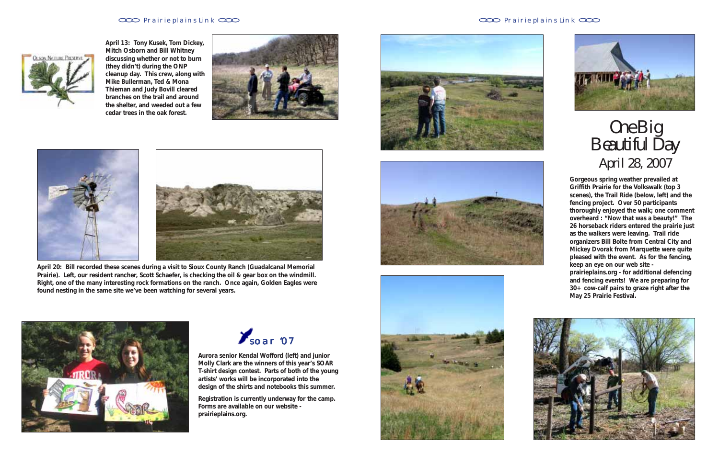### Prairie plains Link CCO **Prairie plains Link CCO Prairie plains Link CCO Prairie plains Link CCO**



**Gorgeous spring weather prevailed at Griffith Prairie for the Volkswalk (top 3 scenes), the Trail Ride (below, left) and the fencing project. Over 50 participants thoroughly enjoyed the walk; one comment overheard : "Now** *that* **was a beauty!" The 26 horseback riders entered the prairie just as the walkers were leaving. Trail ride organizers Bill Bolte from Central City and Mickey Dvorak from Marquette were quite pleased with the event. As for the fencing, keep an eye on our web site prairieplains.org - for additional defencing and fencing events! We are preparing for 30+ cow-calf pairs to graze right after the**



**May 25 Prairie Festival.**

## *One Big Beautiful Day April 28, 2007*

**April 20: Bill recorded these scenes during a visit to Sioux County Ranch (Guadalcanal Memorial Prairie). Left, our resident rancher, Scott Schaefer, is checking the oil & gear box on the windmill. Right, one of the many interesting rock formations on the ranch. Once again, Golden Eagles were found nesting in the same site we've been watching for several years.**



**April 13: Tony Kusek, Tom Dickey, Mitch Osborn and Bill Whitney discussing whether or not to burn (they didn't) during the ONP cleanup day. This crew, along with Mike Bullerman, Ted & Mona Thieman and Judy Bovill cleared branches on the trail and around the shelter, and weeded out a few cedar trees in the oak forest.**





**Aurora senior Kendal Wofford (left) and junior Molly Clark are the winners of this year's SOAR T-shirt design contest. Parts of both of the young artists' works will be incorporated into the design of the shirts and notebooks this summer.**

**Registration is currently underway for the camp. Forms are available on our website prairieplains.org.**